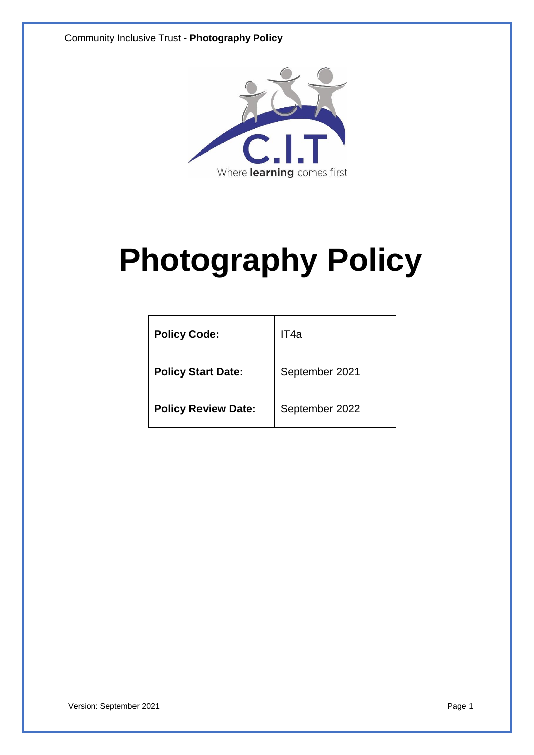Community Inclusive Trust - **Photography Policy**



# **Photography Policy**

| <b>Policy Code:</b>        | IT4a           |
|----------------------------|----------------|
| <b>Policy Start Date:</b>  | September 2021 |
| <b>Policy Review Date:</b> | September 2022 |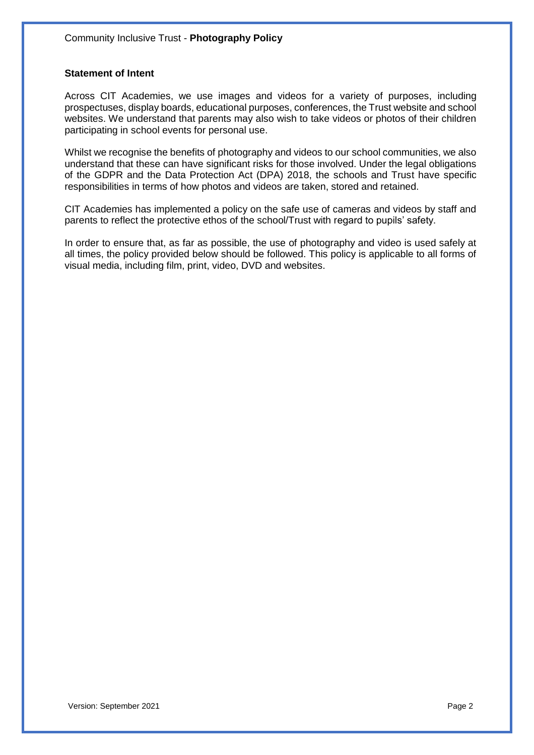## **Statement of Intent**

Across CIT Academies, we use images and videos for a variety of purposes, including prospectuses, display boards, educational purposes, conferences, the Trust website and school websites. We understand that parents may also wish to take videos or photos of their children participating in school events for personal use.

Whilst we recognise the benefits of photography and videos to our school communities, we also understand that these can have significant risks for those involved. Under the legal obligations of the GDPR and the Data Protection Act (DPA) 2018, the schools and Trust have specific responsibilities in terms of how photos and videos are taken, stored and retained.

CIT Academies has implemented a policy on the safe use of cameras and videos by staff and parents to reflect the protective ethos of the school/Trust with regard to pupils' safety.

In order to ensure that, as far as possible, the use of photography and video is used safely at all times, the policy provided below should be followed. This policy is applicable to all forms of visual media, including film, print, video, DVD and websites.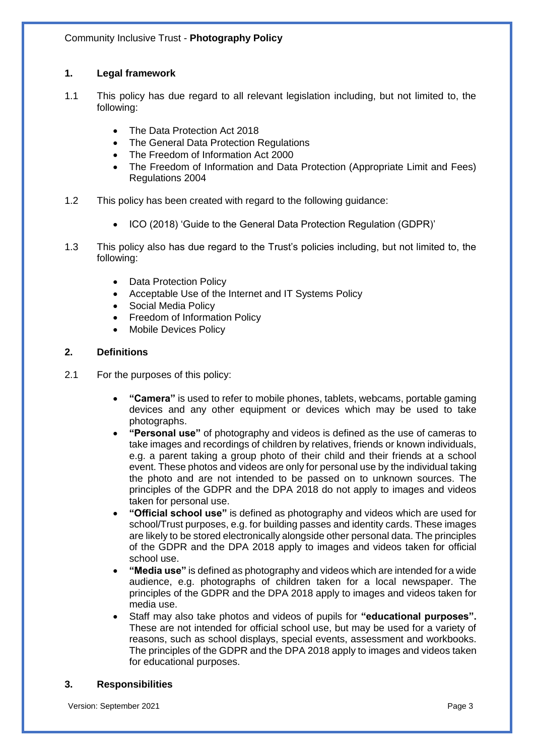# **1. Legal framework**

- 1.1 This policy has due regard to all relevant legislation including, but not limited to, the following:
	- The Data Protection Act 2018
	- The General Data Protection Regulations
	- The Freedom of Information Act 2000
	- The Freedom of Information and Data Protection (Appropriate Limit and Fees) Regulations 2004
- 1.2 This policy has been created with regard to the following guidance:
	- ICO (2018) 'Guide to the General Data Protection Regulation (GDPR)'
- 1.3 This policy also has due regard to the Trust's policies including, but not limited to, the following:
	- Data Protection Policy
	- Acceptable Use of the Internet and IT Systems Policy
	- Social Media Policy
	- Freedom of Information Policy
	- Mobile Devices Policy

# **2. Definitions**

- 2.1 For the purposes of this policy:
	- **"Camera"** is used to refer to mobile phones, tablets, webcams, portable gaming devices and any other equipment or devices which may be used to take photographs.
	- **"Personal use"** of photography and videos is defined as the use of cameras to take images and recordings of children by relatives, friends or known individuals, e.g. a parent taking a group photo of their child and their friends at a school event. These photos and videos are only for personal use by the individual taking the photo and are not intended to be passed on to unknown sources. The principles of the GDPR and the DPA 2018 do not apply to images and videos taken for personal use.
	- **"Official school use"** is defined as photography and videos which are used for school/Trust purposes, e.g. for building passes and identity cards. These images are likely to be stored electronically alongside other personal data. The principles of the GDPR and the DPA 2018 apply to images and videos taken for official school use.
	- **"Media use"** is defined as photography and videos which are intended for a wide audience, e.g. photographs of children taken for a local newspaper. The principles of the GDPR and the DPA 2018 apply to images and videos taken for media use.
	- Staff may also take photos and videos of pupils for **"educational purposes".** These are not intended for official school use, but may be used for a variety of reasons, such as school displays, special events, assessment and workbooks. The principles of the GDPR and the DPA 2018 apply to images and videos taken for educational purposes.

# **3. Responsibilities**

Version: September 2021 Page 3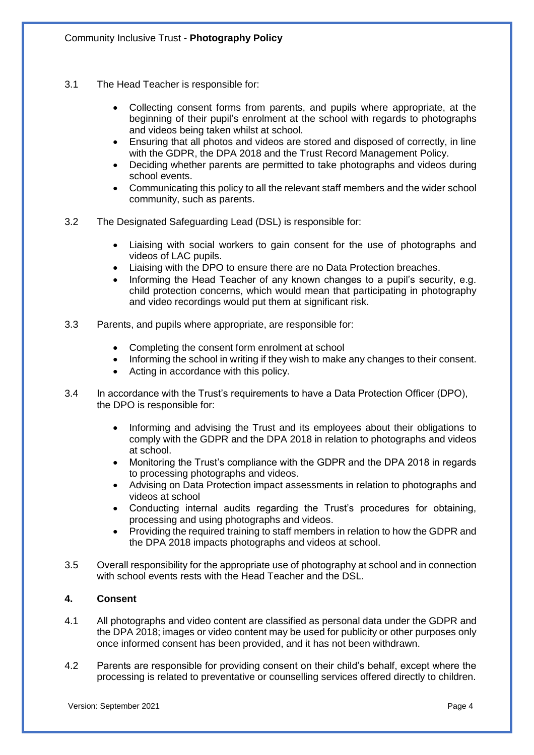- 3.1 The Head Teacher is responsible for:
	- Collecting consent forms from parents, and pupils where appropriate, at the beginning of their pupil's enrolment at the school with regards to photographs and videos being taken whilst at school.
	- Ensuring that all photos and videos are stored and disposed of correctly, in line with the GDPR, the DPA 2018 and the Trust Record Management Policy.
	- Deciding whether parents are permitted to take photographs and videos during school events.
	- Communicating this policy to all the relevant staff members and the wider school community, such as parents.
- 3.2 The Designated Safeguarding Lead (DSL) is responsible for:
	- Liaising with social workers to gain consent for the use of photographs and videos of LAC pupils.
	- Liaising with the DPO to ensure there are no Data Protection breaches.
	- Informing the Head Teacher of any known changes to a pupil's security, e.g. child protection concerns, which would mean that participating in photography and video recordings would put them at significant risk.
- 3.3 Parents, and pupils where appropriate, are responsible for:
	- Completing the consent form enrolment at school
	- Informing the school in writing if they wish to make any changes to their consent.
	- Acting in accordance with this policy.
- 3.4 In accordance with the Trust's requirements to have a Data Protection Officer (DPO), the DPO is responsible for:
	- Informing and advising the Trust and its employees about their obligations to comply with the GDPR and the DPA 2018 in relation to photographs and videos at school.
	- Monitoring the Trust's compliance with the GDPR and the DPA 2018 in regards to processing photographs and videos.
	- Advising on Data Protection impact assessments in relation to photographs and videos at school
	- Conducting internal audits regarding the Trust's procedures for obtaining, processing and using photographs and videos.
	- Providing the required training to staff members in relation to how the GDPR and the DPA 2018 impacts photographs and videos at school.
- 3.5 Overall responsibility for the appropriate use of photography at school and in connection with school events rests with the Head Teacher and the DSL.

# **4. Consent**

- 4.1 All photographs and video content are classified as personal data under the GDPR and the DPA 2018; images or video content may be used for publicity or other purposes only once informed consent has been provided, and it has not been withdrawn.
- 4.2 Parents are responsible for providing consent on their child's behalf, except where the processing is related to preventative or counselling services offered directly to children.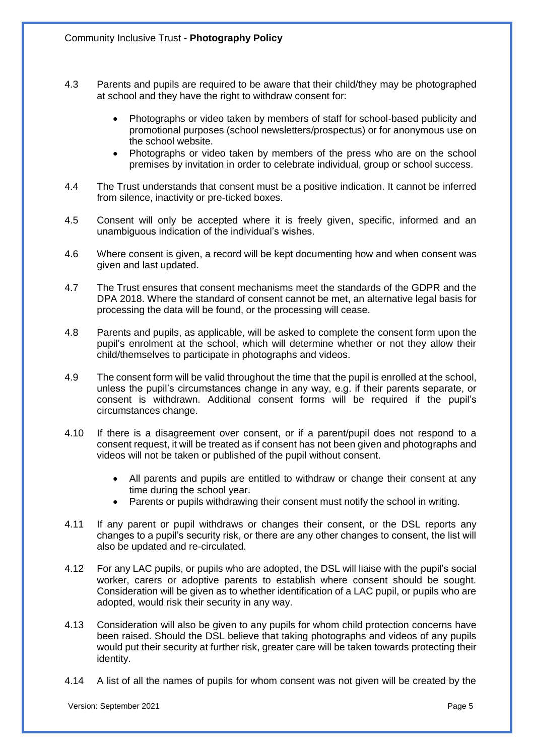- 4.3 Parents and pupils are required to be aware that their child/they may be photographed at school and they have the right to withdraw consent for:
	- Photographs or video taken by members of staff for school-based publicity and promotional purposes (school newsletters/prospectus) or for anonymous use on the school website.
	- Photographs or video taken by members of the press who are on the school premises by invitation in order to celebrate individual, group or school success.
- 4.4 The Trust understands that consent must be a positive indication. It cannot be inferred from silence, inactivity or pre-ticked boxes.
- 4.5 Consent will only be accepted where it is freely given, specific, informed and an unambiguous indication of the individual's wishes.
- 4.6 Where consent is given, a record will be kept documenting how and when consent was given and last updated.
- 4.7 The Trust ensures that consent mechanisms meet the standards of the GDPR and the DPA 2018. Where the standard of consent cannot be met, an alternative legal basis for processing the data will be found, or the processing will cease.
- 4.8 Parents and pupils, as applicable, will be asked to complete the consent form upon the pupil's enrolment at the school, which will determine whether or not they allow their child/themselves to participate in photographs and videos.
- 4.9 The consent form will be valid throughout the time that the pupil is enrolled at the school, unless the pupil's circumstances change in any way, e.g. if their parents separate, or consent is withdrawn. Additional consent forms will be required if the pupil's circumstances change.
- 4.10 If there is a disagreement over consent, or if a parent/pupil does not respond to a consent request, it will be treated as if consent has not been given and photographs and videos will not be taken or published of the pupil without consent.
	- All parents and pupils are entitled to withdraw or change their consent at any time during the school year.
	- Parents or pupils withdrawing their consent must notify the school in writing.
- 4.11 If any parent or pupil withdraws or changes their consent, or the DSL reports any changes to a pupil's security risk, or there are any other changes to consent, the list will also be updated and re-circulated.
- 4.12 For any LAC pupils, or pupils who are adopted, the DSL will liaise with the pupil's social worker, carers or adoptive parents to establish where consent should be sought. Consideration will be given as to whether identification of a LAC pupil, or pupils who are adopted, would risk their security in any way.
- 4.13 Consideration will also be given to any pupils for whom child protection concerns have been raised. Should the DSL believe that taking photographs and videos of any pupils would put their security at further risk, greater care will be taken towards protecting their identity.
- 4.14 A list of all the names of pupils for whom consent was not given will be created by the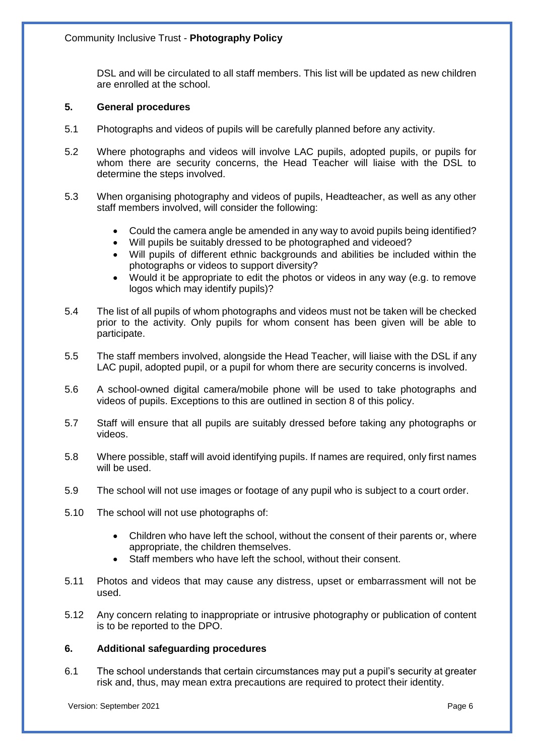DSL and will be circulated to all staff members. This list will be updated as new children are enrolled at the school.

#### **5. General procedures**

- 5.1 Photographs and videos of pupils will be carefully planned before any activity.
- 5.2 Where photographs and videos will involve LAC pupils, adopted pupils, or pupils for whom there are security concerns, the Head Teacher will liaise with the DSL to determine the steps involved.
- 5.3 When organising photography and videos of pupils, Headteacher, as well as any other staff members involved, will consider the following:
	- Could the camera angle be amended in any way to avoid pupils being identified?
	- Will pupils be suitably dressed to be photographed and videoed?
	- Will pupils of different ethnic backgrounds and abilities be included within the photographs or videos to support diversity?
	- Would it be appropriate to edit the photos or videos in any way (e.g. to remove logos which may identify pupils)?
- 5.4 The list of all pupils of whom photographs and videos must not be taken will be checked prior to the activity. Only pupils for whom consent has been given will be able to participate.
- 5.5 The staff members involved, alongside the Head Teacher, will liaise with the DSL if any LAC pupil, adopted pupil, or a pupil for whom there are security concerns is involved.
- 5.6 A school-owned digital camera/mobile phone will be used to take photographs and videos of pupils. Exceptions to this are outlined in section 8 of this policy.
- 5.7 Staff will ensure that all pupils are suitably dressed before taking any photographs or videos.
- 5.8 Where possible, staff will avoid identifying pupils. If names are required, only first names will be used.
- 5.9 The school will not use images or footage of any pupil who is subject to a court order.
- 5.10 The school will not use photographs of:
	- Children who have left the school, without the consent of their parents or, where appropriate, the children themselves.
	- Staff members who have left the school, without their consent.
- 5.11 Photos and videos that may cause any distress, upset or embarrassment will not be used.
- 5.12 Any concern relating to inappropriate or intrusive photography or publication of content is to be reported to the DPO.

## **6. Additional safeguarding procedures**

6.1 The school understands that certain circumstances may put a pupil's security at greater risk and, thus, may mean extra precautions are required to protect their identity.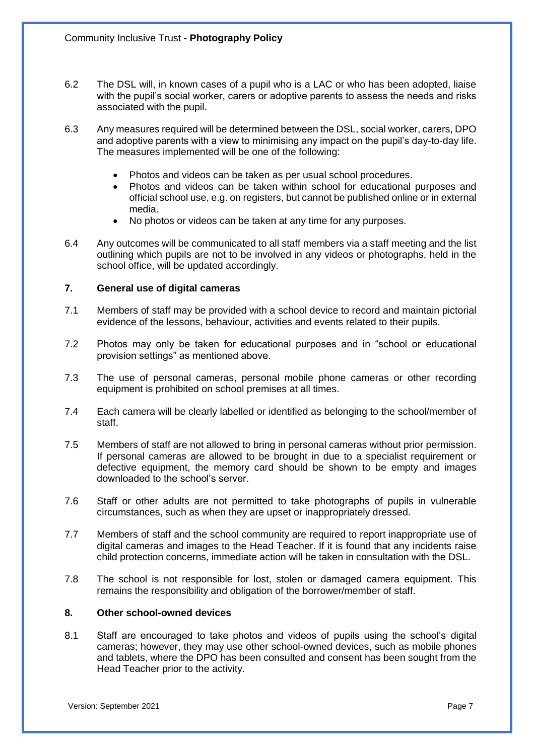- 6.2 The DSL will, in known cases of a pupil who is a LAC or who has been adopted, liaise with the pupil's social worker, carers or adoptive parents to assess the needs and risks associated with the pupil.
- 6.3 Any measures required will be determined between the DSL, social worker, carers, DPO and adoptive parents with a view to minimising any impact on the pupil's day-to-day life. The measures implemented will be one of the following:
	- Photos and videos can be taken as per usual school procedures.
	- Photos and videos can be taken within school for educational purposes and official school use, e.g. on registers, but cannot be published online or in external media.
	- No photos or videos can be taken at any time for any purposes.
- 6.4 Any outcomes will be communicated to all staff members via a staff meeting and the list outlining which pupils are not to be involved in any videos or photographs, held in the school office, will be updated accordingly.

## **7. General use of digital cameras**

- 7.1 Members of staff may be provided with a school device to record and maintain pictorial evidence of the lessons, behaviour, activities and events related to their pupils.
- 7.2 Photos may only be taken for educational purposes and in "school or educational provision settings" as mentioned above.
- 7.3 The use of personal cameras, personal mobile phone cameras or other recording equipment is prohibited on school premises at all times.
- 7.4 Each camera will be clearly labelled or identified as belonging to the school/member of staff.
- 7.5 Members of staff are not allowed to bring in personal cameras without prior permission. If personal cameras are allowed to be brought in due to a specialist requirement or defective equipment, the memory card should be shown to be empty and images downloaded to the school's server.
- 7.6 Staff or other adults are not permitted to take photographs of pupils in vulnerable circumstances, such as when they are upset or inappropriately dressed.
- 7.7 Members of staff and the school community are required to report inappropriate use of digital cameras and images to the Head Teacher. If it is found that any incidents raise child protection concerns, immediate action will be taken in consultation with the DSL.
- 7.8 The school is not responsible for lost, stolen or damaged camera equipment. This remains the responsibility and obligation of the borrower/member of staff.

# **8. Other school-owned devices**

8.1 Staff are encouraged to take photos and videos of pupils using the school's digital cameras; however, they may use other school-owned devices, such as mobile phones and tablets, where the DPO has been consulted and consent has been sought from the Head Teacher prior to the activity.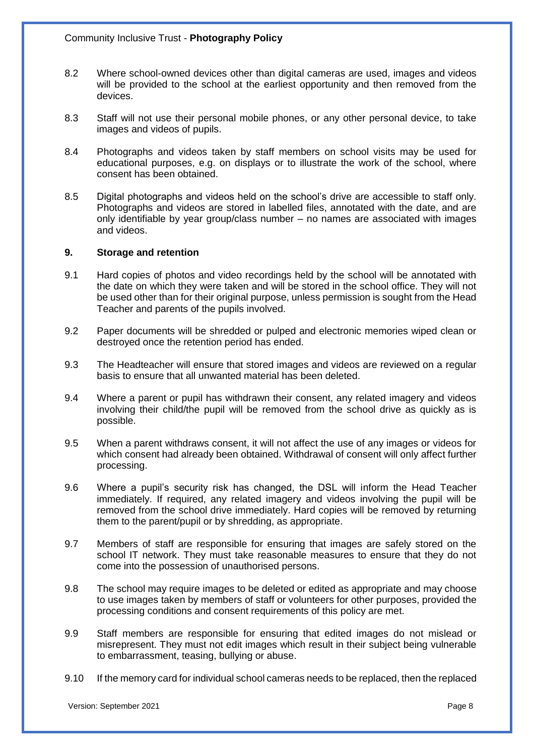- 8.2 Where school-owned devices other than digital cameras are used, images and videos will be provided to the school at the earliest opportunity and then removed from the devices.
- 8.3 Staff will not use their personal mobile phones, or any other personal device, to take images and videos of pupils.
- 8.4 Photographs and videos taken by staff members on school visits may be used for educational purposes, e.g. on displays or to illustrate the work of the school, where consent has been obtained.
- 8.5 Digital photographs and videos held on the school's drive are accessible to staff only. Photographs and videos are stored in labelled files, annotated with the date, and are only identifiable by year group/class number – no names are associated with images and videos.

#### **9. Storage and retention**

- 9.1 Hard copies of photos and video recordings held by the school will be annotated with the date on which they were taken and will be stored in the school office. They will not be used other than for their original purpose, unless permission is sought from the Head Teacher and parents of the pupils involved.
- 9.2 Paper documents will be shredded or pulped and electronic memories wiped clean or destroyed once the retention period has ended.
- 9.3 The Headteacher will ensure that stored images and videos are reviewed on a regular basis to ensure that all unwanted material has been deleted.
- 9.4 Where a parent or pupil has withdrawn their consent, any related imagery and videos involving their child/the pupil will be removed from the school drive as quickly as is possible.
- 9.5 When a parent withdraws consent, it will not affect the use of any images or videos for which consent had already been obtained. Withdrawal of consent will only affect further processing.
- 9.6 Where a pupil's security risk has changed, the DSL will inform the Head Teacher immediately. If required, any related imagery and videos involving the pupil will be removed from the school drive immediately. Hard copies will be removed by returning them to the parent/pupil or by shredding, as appropriate.
- 9.7 Members of staff are responsible for ensuring that images are safely stored on the school IT network. They must take reasonable measures to ensure that they do not come into the possession of unauthorised persons.
- 9.8 The school may require images to be deleted or edited as appropriate and may choose to use images taken by members of staff or volunteers for other purposes, provided the processing conditions and consent requirements of this policy are met.
- 9.9 Staff members are responsible for ensuring that edited images do not mislead or misrepresent. They must not edit images which result in their subject being vulnerable to embarrassment, teasing, bullying or abuse.
- 9.10 If the memory card for individual school cameras needs to be replaced, then the replaced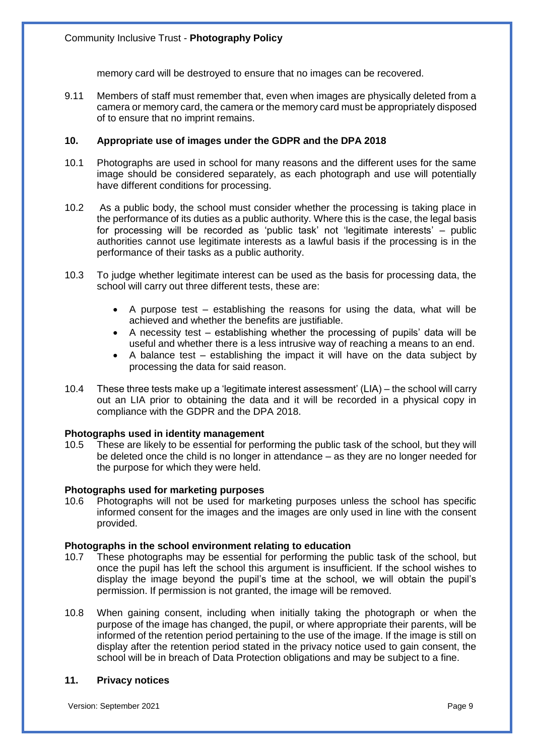memory card will be destroyed to ensure that no images can be recovered.

9.11 Members of staff must remember that, even when images are physically deleted from a camera or memory card, the camera or the memory card must be appropriately disposed of to ensure that no imprint remains.

## **10. Appropriate use of images under the GDPR and the DPA 2018**

- 10.1 Photographs are used in school for many reasons and the different uses for the same image should be considered separately, as each photograph and use will potentially have different conditions for processing.
- 10.2 As a public body, the school must consider whether the processing is taking place in the performance of its duties as a public authority. Where this is the case, the legal basis for processing will be recorded as 'public task' not 'legitimate interests' – public authorities cannot use legitimate interests as a lawful basis if the processing is in the performance of their tasks as a public authority.
- 10.3 To judge whether legitimate interest can be used as the basis for processing data, the school will carry out three different tests, these are:
	- A purpose test establishing the reasons for using the data, what will be achieved and whether the benefits are justifiable.
	- A necessity test establishing whether the processing of pupils' data will be useful and whether there is a less intrusive way of reaching a means to an end.
	- A balance test establishing the impact it will have on the data subject by processing the data for said reason.
- 10.4 These three tests make up a 'legitimate interest assessment' (LIA) the school will carry out an LIA prior to obtaining the data and it will be recorded in a physical copy in compliance with the GDPR and the DPA 2018.

#### **Photographs used in identity management**

10.5 These are likely to be essential for performing the public task of the school, but they will be deleted once the child is no longer in attendance – as they are no longer needed for the purpose for which they were held.

#### **Photographs used for marketing purposes**

10.6 Photographs will not be used for marketing purposes unless the school has specific informed consent for the images and the images are only used in line with the consent provided.

#### **Photographs in the school environment relating to education**

- 10.7 These photographs may be essential for performing the public task of the school, but once the pupil has left the school this argument is insufficient. If the school wishes to display the image beyond the pupil's time at the school, we will obtain the pupil's permission. If permission is not granted, the image will be removed.
- 10.8 When gaining consent, including when initially taking the photograph or when the purpose of the image has changed, the pupil, or where appropriate their parents, will be informed of the retention period pertaining to the use of the image. If the image is still on display after the retention period stated in the privacy notice used to gain consent, the school will be in breach of Data Protection obligations and may be subject to a fine.

#### **11. Privacy notices**

Version: September 2021 Page 9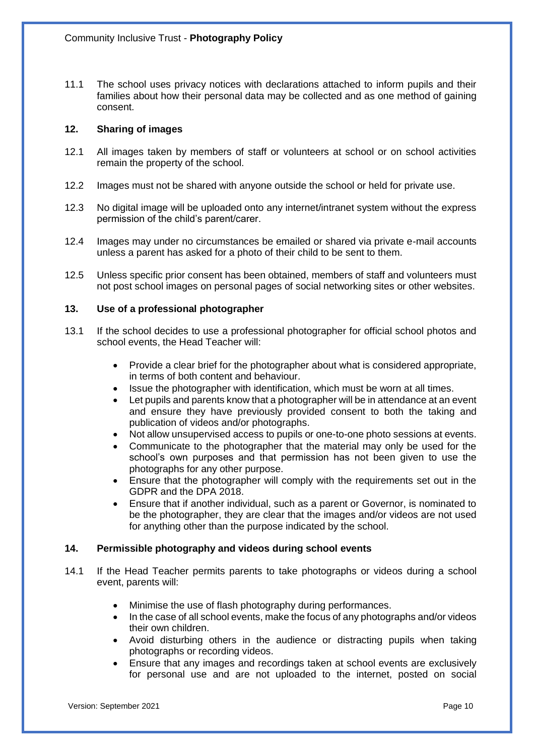11.1 The school uses privacy notices with declarations attached to inform pupils and their families about how their personal data may be collected and as one method of gaining consent.

## **12. Sharing of images**

- 12.1 All images taken by members of staff or volunteers at school or on school activities remain the property of the school.
- 12.2 Images must not be shared with anyone outside the school or held for private use.
- 12.3 No digital image will be uploaded onto any internet/intranet system without the express permission of the child's parent/carer.
- 12.4 Images may under no circumstances be emailed or shared via private e-mail accounts unless a parent has asked for a photo of their child to be sent to them.
- 12.5 Unless specific prior consent has been obtained, members of staff and volunteers must not post school images on personal pages of social networking sites or other websites.

## **13. Use of a professional photographer**

- 13.1 If the school decides to use a professional photographer for official school photos and school events, the Head Teacher will:
	- Provide a clear brief for the photographer about what is considered appropriate, in terms of both content and behaviour.
	- Issue the photographer with identification, which must be worn at all times.
	- Let pupils and parents know that a photographer will be in attendance at an event and ensure they have previously provided consent to both the taking and publication of videos and/or photographs.
	- Not allow unsupervised access to pupils or one-to-one photo sessions at events.
	- Communicate to the photographer that the material may only be used for the school's own purposes and that permission has not been given to use the photographs for any other purpose.
	- Ensure that the photographer will comply with the requirements set out in the GDPR and the DPA 2018.
	- Ensure that if another individual, such as a parent or Governor, is nominated to be the photographer, they are clear that the images and/or videos are not used for anything other than the purpose indicated by the school.

#### **14. Permissible photography and videos during school events**

- 14.1 If the Head Teacher permits parents to take photographs or videos during a school event, parents will:
	- Minimise the use of flash photography during performances.
	- In the case of all school events, make the focus of any photographs and/or videos their own children.
	- Avoid disturbing others in the audience or distracting pupils when taking photographs or recording videos.
	- Ensure that any images and recordings taken at school events are exclusively for personal use and are not uploaded to the internet, posted on social